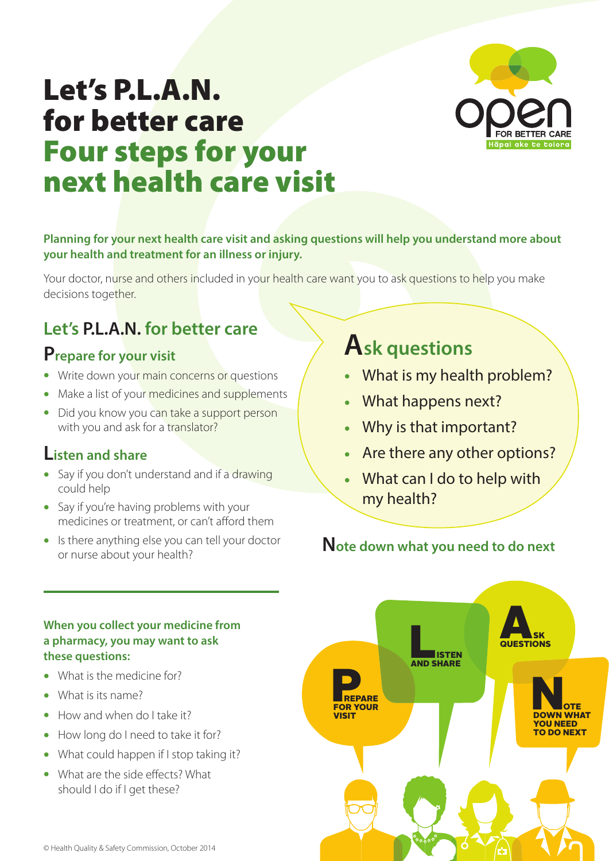

# Let's P.L.A.N. for better care Four steps for your next health care visit

#### **Planning for your next health care visit and asking questions will help you understand more about your health and treatment for an illness or injury.**

Your doctor, nurse and others included in your health care want you to ask questions to help you make decisions together.

## **Let's P.L.A.N. for better care**

## **Prepare for your visit**

- **•** Write down your main concerns or questions
- Make a list of your medicines and supplements
- **•** Did you know you can take a support person with you and ask for a translator?

## **Listen and share**

- Say if you don't understand and if a drawing could help
- **•** Say if you're having problems with your medicines or treatment, or can't afford them
- **•** Is there anything else you can tell your doctor or nurse about your health?

## **Ask questions**

- **•** What is my health problem?
- **•** What happens next?
- **•** Why is that important?
- **•** Are there any other options?
- **•** What can I do to help with my health?

## **Note down what you need to do next**



#### **When you collect your medicine from a pharmacy, you may want to ask these questions:**

- **•** What is the medicine for?
- **•** What is its name?
- **•** How and when do I take it?
- **•** How long do I need to take it for?
- **•** What could happen if I stop taking it?
- **•** What are the side effects? What should I do if I get these?